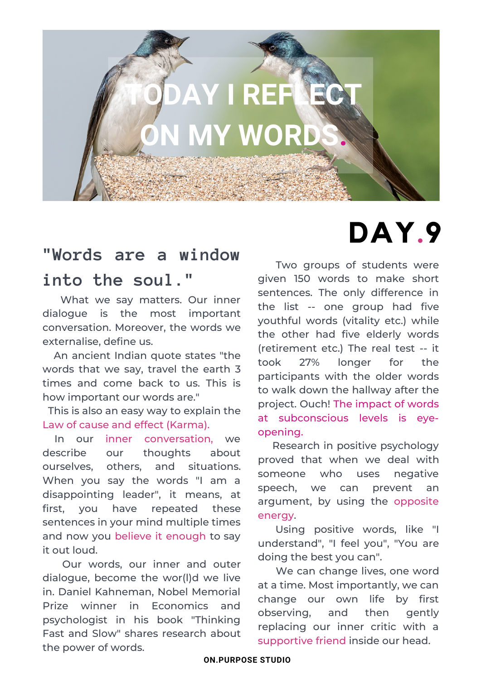

### **"Words are a window into the soul."**

What we say matters. Our inner dialogue is the most important conversation. Moreover, the words we externalise, define us.

An ancient Indian quote states "the words that we say, travel the earth 3 times and come back to us. This is how important our words are."

This is also an easy way to explain the Law of cause and effect (Karma).

In our inner conversation, we describe our thoughts about ourselves, others, and situations. When you say the words "I am a disappointing leader", it means, at first, you have repeated these sentences in your mind multiple times and now you believe it enough to say it out loud.

Our words, our inner and outer dialogue, become the wor(l)d we live in. Daniel Kahneman, Nobel Memorial Prize winner in Economics and psychologist in his book "Thinking Fast and Slow" shares research about the power of words.

# **DAY.9**

Two groups of students were given 150 words to make short sentences. The only difference in the list -- one group had five youthful words (vitality etc.) while the other had five elderly words (retirement etc.) The real test -- it took 27% longer for the participants with the older words to walk down the hallway after the project. Ouch! The impact of words at subconscious levels is eyeopening.

Research in positive psychology proved that when we deal with someone who uses negative speech, we can prevent an argument, by using the opposite energy.

Using positive words, like "I understand", "I feel you", "You are doing the best you can".

We can change lives, one word at a time. Most importantly, we can change our own life by first observing, and then gently replacing our inner critic with a supportive friend inside our head.